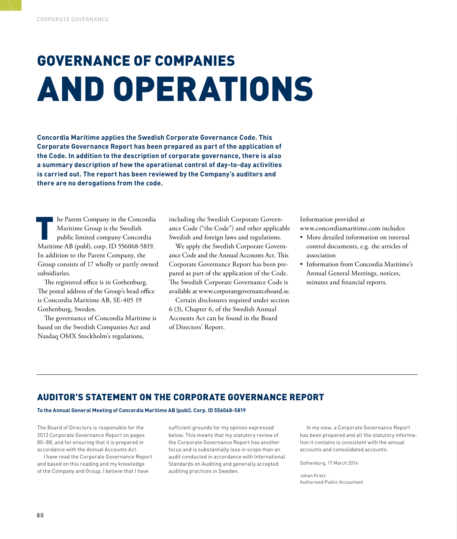# GOVERNANCE OF COMPANIES AND OPERATIONS

**Concordia Maritime applies the Swedish Corporate Governance Code. This Corporate Governance Report has been prepared as part of the application of the Code. In addition to the description of corporate governance, there is also a summary description of how the operational control of day-to-day activities is carried out. The report has been reviewed by the Company's auditors and there are no derogations from the code.**

In the Parent Company in the Concordia<br>Maritime Group is the Swedish<br>public limited company Concordia<br>Maritime AB (publ), corp. ID 556068-5819. he Parent Company in the Concordia Maritime Group is the Swedish public limited company Concordia In addition to the Parent Company, the Group consists of 17 wholly or partly owned subsidiaries.

The registered office is in Gothenburg. The postal address of the Group's head office is Concordia Maritime AB, SE-405 19 Gothenburg, Sweden.

The governance of Concordia Maritime is based on the Swedish Companies Act and Nasdaq OMX Stockholm's regulations,

including the Swedish Corporate Governance Code ("the Code") and other applicable Swedish and foreign laws and regulations.

We apply the Swedish Corporate Governance Code and the Annual Accounts Act. This Corporate Governance Report has been prepared as part of the application of the Code. The Swedish Corporate Governance Code is available at www.corporategovernanceboard.se.

Certain disclosures required under section 6 (3), Chapter 6, of the Swedish Annual Accounts Act can be found in the Board of Directors' Report.

Information provided at www.concordiamaritime.com includes:

- More detailed information on internal control documents, e.g. the articles of association
- Information from Concordia Maritime's Annual General Meetings, notices, minutes and financial reports.

### AUDITOR'S STATEMENT ON THE CORPORATE GOVERNANCE REPORT

#### **To the Annual General Meeting of Concordia Maritime AB (publ). Corp. ID 556068-5819**

The Board of Directors is responsible for the 2013 Corporate Governance Report on pages 80–88, and for ensuring that it is prepared in accordance with the Annual Accounts Act.

I have read the Corporate Governance Report and based on this reading and my knowledge of the Company and Group, I believe that I have

sufficient grounds for my opinion expressed below. This means that my statutory review of the Corporate Governance Report has another focus and is substantially less in scope than an audit conducted in accordance with International Standards on Auditing and generally accepted auditing practices in Sweden.

In my view, a Corporate Governance Report has been prepared and all the statutory information it contains is consistent with the annual accounts and consolidated accounts.

Gothenburg, 17 March 2014

Johan Kratz Authorised Public Accountant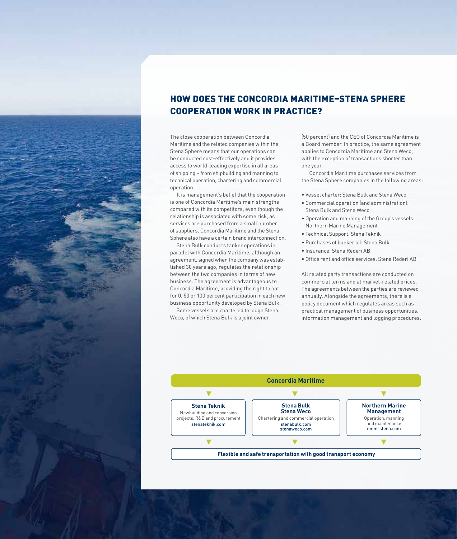

### HOW DOES THE CONCORDIA MARITIME–STENA SPHERE COOPERATION WORK IN PRACTICE?

The close cooperation between Concordia Maritime and the related companies within the Stena Sphere means that our operations can be conducted cost-effectively and it provides access to world-leading expertise in all areas of shipping – from shipbuilding and manning to technical operation, chartering and commercial operation.

It is management's belief that the cooperation is one of Concordia Maritime's main strengths compared with its competitors, even though the relationship is associated with some risk, as services are purchased from a small number of suppliers. Concordia Maritime and the Stena Sphere also have a certain brand interconnection.

Stena Bulk conducts tanker operations in parallel with Concordia Maritime, although an agreement, signed when the company was established 30 years ago, regulates the relationship between the two companies in terms of new business. The agreement is advantageous to Concordia Maritime, providing the right to opt for 0, 50 or 100 percent participation in each new business opportunity developed by Stena Bulk.

Some vessels are chartered through Stena Weco, of which Stena Bulk is a joint owner

(50 percent) and the CEO of Concordia Maritime is a Board member. In practice, the same agreement applies to Concordia Maritime and Stena Weco, with the exception of transactions shorter than one year.

 Concordia Maritime purchases services from the Stena Sphere companies in the following areas:

- Vessel charter: Stena Bulk and Stena Weco
- Commercial operation (and administration): Stena Bulk and Stena Weco
- Operation and manning of the Group's vessels: Northern Marine Management
- Technical Support: Stena Teknik
- Purchases of bunker oil: Stena Bulk
- Insurance: Stena Rederi AB
- Office rent and office services: Stena Rederi AB

All related party transactions are conducted on commercial terms and at market-related prices. The agreements between the parties are reviewed annually. Alongside the agreements, there is a policy document which regulates areas such as practical management of business opportunities, information management and logging procedures.

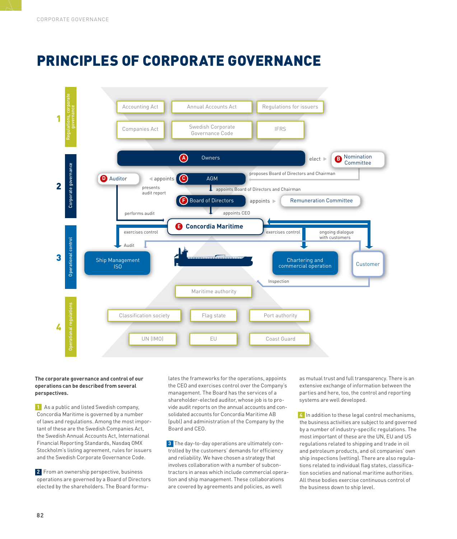# PRINCIPLES OF CORPORATE GOVERNANCE



#### **The corporate governance and control of our operations can be described from several perspectives.**

**1** As a public and listed Swedish company, Concordia Maritime is governed by a number of laws and regulations. Among the most important of these are the Swedish Companies Act, the Swedish Annual Accounts Act, International Financial Reporting Standards, Nasdaq OMX Stockholm's listing agreement, rules for issuers and the Swedish Corporate Governance Code.

**2** From an ownership perspective, business operations are governed by a Board of Directors elected by the shareholders. The Board formulates the frameworks for the operations, appoints the CEO and exercises control over the Company's management. The Board has the services of a shareholder-elected auditor, whose job is to provide audit reports on the annual accounts and consolidated accounts for Concordia Maritime AB (publ) and administration of the Company by the Board and CEO.

**3** The day-to-day operations are ultimately controlled by the customers' demands for efficiency and reliability. We have chosen a strategy that involves collaboration with a number of subcontractors in areas which include commercial operation and ship management. These collaborations are covered by agreements and policies, as well

as mutual trust and full transparency. There is an extensive exchange of information between the parties and here, too, the control and reporting systems are well developed.

**4** In addition to these legal control mechanisms, the business activities are subject to and governed by a number of industry-specific regulations. The most important of these are the UN, EU and US regulations related to shipping and trade in oil and petroleum products, and oil companies' own ship inspections (vetting). There are also regulations related to individual flag states, classification societies and national maritime authorities. All these bodies exercise continuous control of the business down to ship level.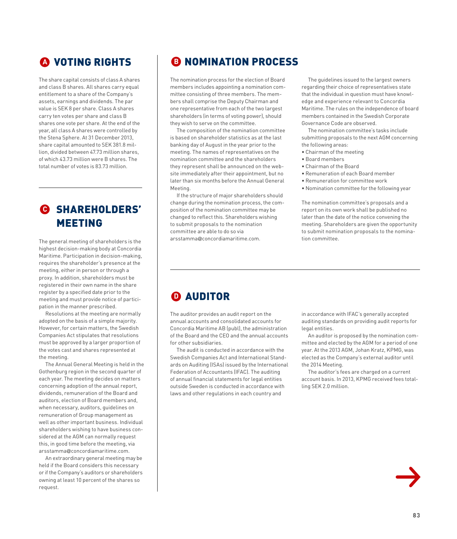### **<sup>A</sup>** VOTING RIGHTS

The share capital consists of class A shares and class B shares. All shares carry equal entitlement to a share of the Company's assets, earnings and dividends. The par value is SEK 8 per share. Class A shares carry ten votes per share and class B shares one vote per share. At the end of the year, all class A shares were controlled by the Stena Sphere. At 31 December 2013, share capital amounted to SEK 381.8 million, divided between 47.73 million shares, of which 43.73 million were B shares. The total number of votes is 83.73 million.

### **<sup>C</sup>** SHAREHOLDERS' MEETING

The general meeting of shareholders is the highest decision-making body at Concordia Maritime. Participation in decision-making, requires the shareholder's presence at the meeting, either in person or through a proxy. In addition, shareholders must be registered in their own name in the share register by a specified date prior to the meeting and must provide notice of participation in the manner prescribed.

Resolutions at the meeting are normally adopted on the basis of a simple majority. However, for certain matters, the Swedish Companies Act stipulates that resolutions must be approved by a larger proportion of the votes cast and shares represented at the meeting.

The Annual General Meeting is held in the Gothenburg region in the second quarter of each year. The meeting decides on matters concerning adoption of the annual report, dividends, remuneration of the Board and auditors, election of Board members and, when necessary, auditors, guidelines on remuneration of Group management as well as other important business. Individual shareholders wishing to have business considered at the AGM can normally request this, in good time before the meeting, via arsstamma@concordiamaritime.com.

An extraordinary general meeting may be held if the Board considers this necessary or if the Company's auditors or shareholders owning at least 10 percent of the shares so request.

### **B** NOMINATION PROCESS

The nomination process for the election of Board members includes appointing a nomination committee consisting of three members. The members shall comprise the Deputy Chairman and one representative from each of the two largest shareholders (in terms of voting power), should they wish to serve on the committee.

The composition of the nomination committee is based on shareholder statistics as at the last banking day of August in the year prior to the meeting. The names of representatives on the nomination committee and the shareholders they represent shall be announced on the website immediately after their appointment, but no later than six months before the Annual General Meeting.

If the structure of major shareholders should change during the nomination process, the composition of the nomination committee may be changed to reflect this. Shareholders wishing to submit proposals to the nomination committee are able to do so via arsstamma@concordiamaritime.com.

The guidelines issued to the largest owners regarding their choice of representatives state that the individual in question must have knowledge and experience relevant to Concordia Maritime. The rules on the independence of board members contained in the Swedish Corporate Governance Code are observed.

The nomination committee's tasks include submitting proposals to the next AGM concerning the following areas:

- Chairman of the meeting
- Board members
- Chairman of the Board
- Remuneration of each Board member
- Remuneration for committee work
- Nomination committee for the following year

The nomination committee's proposals and a report on its own work shall be published no later than the date of the notice convening the meeting. Shareholders are given the opportunity to submit nomination proposals to the nomination committee.

### **D AUDITOR**

The auditor provides an audit report on the annual accounts and consolidated accounts for Concordia Maritime AB (publ), the administration of the Board and the CEO and the annual accounts for other subsidiaries.

The audit is conducted in accordance with the Swedish Companies Act and International Standards on Auditing (ISAs) issued by the International Federation of Accountants (IFAC). The auditing of annual financial statements for legal entities outside Sweden is conducted in accordance with laws and other regulations in each country and

in accordance with IFAC's generally accepted auditing standards on providing audit reports for legal entities.

An auditor is proposed by the nomination committee and elected by the AGM for a period of one year. At the 2013 AGM, Johan Kratz, KPMG, was elected as the Company's external auditor until the 2014 Meeting.

The auditor's fees are charged on a current account basis. In 2013, KPMG received fees totalling SEK 2.0 million.

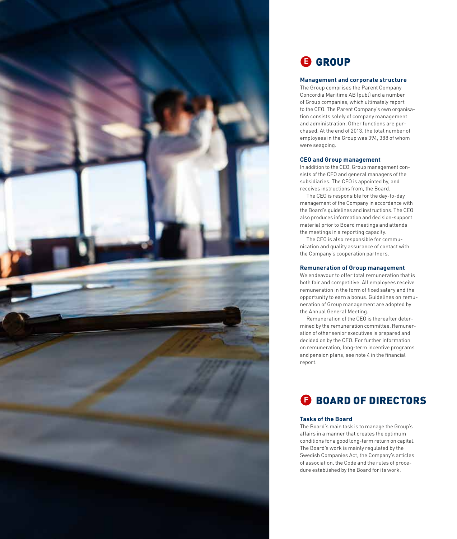

#### **Management and corporate structure**

**CROUP**<br> **Management and corporate structur**<br>The Group comprises the Parent Company<br>
Concordia Maritime AB (publ) and a numbe<br>
of 6000 companys without whiten the Board for interactive report<br>
of the CEO. The Parent Compan The Group comprises the Parent Company Concordia Maritime AB (publ) and a number of Group companies, which ultimately report to the CEO. The Parent Company's own organisa tion consists solely of company management and administration. Other functions are pur chased. At the end of 2013, the total number of employees in the Group was 394, 388 of whom were seagoing.

#### **CEO and Group management**

In addition to the CEO, Group management con sists of the CFO and general managers of the subsidiaries. The CEO is appointed by, and receives instructions from, the Board.

The CEO is responsible for the day-to-day management of the Company in accordance with the Board's guidelines and instructions. The CEO also produces information and decision-support material prior to Board meetings and attends the meetings in a reporting capacity.

The CEO is also responsible for commu nication and quality assurance of contact with the Company's cooperation partners.

#### **Remuneration of Group management**

We endeavour to offer total remuneration that is both fair and competitive. All employees receive remuneration in the form of fixed salary and the opportunity to earn a bonus. Guidelines on remu neration of Group management are adopted by the Annual General Meeting.

Remuneration of the CEO is thereafter deter mined by the remuneration committee. Remuner ation of other senior executives is prepared and decided on by the CEO. For further information on remuneration, long-term incentive programs and pension plans, see note 4 in the financial report.

### **E** BOARD OF DIRECTORS

#### **Tasks of the Board**

The Board's main task is to manage the Group's affairs in a manner that creates the optimum conditions for a good long-term return on capital. The Board's work is mainly regulated by the Swedish Companies Act, the Company's articles of association, the Code and the rules of proce -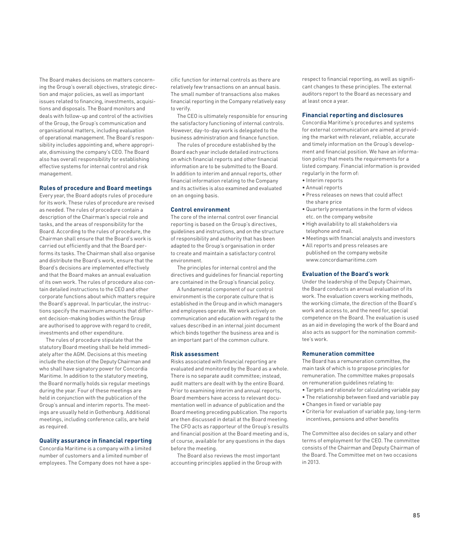The Board makes decisions on matters concerning the Group's overall objectives, strategic direction and major policies, as well as important issues related to financing, investments, acquisitions and disposals. The Board monitors and deals with follow-up and control of the activities of the Group, the Group's communication and organisational matters, including evaluation of operational management. The Board's responsibility includes appointing and, where appropriate, dismissing the company's CEO. The Board also has overall responsibility for establishing effective systems for internal control and risk management.

#### **Rules of procedure and Board meetings**

Every year, the Board adopts rules of procedure for its work. These rules of procedure are revised as needed. The rules of procedure contain a description of the Chairman's special role and tasks, and the areas of responsibility for the Board. According to the rules of procedure, the Chairman shall ensure that the Board's work is carried out efficiently and that the Board performs its tasks. The Chairman shall also organise and distribute the Board's work, ensure that the Board's decisions are implemented effectively and that the Board makes an annual evaluation of its own work. The rules of procedure also contain detailed instructions to the CEO and other corporate functions about which matters require the Board's approval. In particular, the instructions specify the maximum amounts that different decision-making bodies within the Group are authorised to approve with regard to credit, investments and other expenditure.

The rules of procedure stipulate that the statutory Board meeting shall be held immediately after the AGM. Decisions at this meeting include the election of the Deputy Chairman and who shall have signatory power for Concordia Maritime. In addition to the statutory meeting, the Board normally holds six regular meetings during the year. Four of these meetings are held in conjunction with the publication of the Group's annual and interim reports. The meetings are usually held in Gothenburg. Additional meetings, including conference calls, are held as required.

#### **Quality assurance in financial reporting**

Concordia Maritime is a company with a limited number of customers and a limited number of employees. The Company does not have a specific function for internal controls as there are relatively few transactions on an annual basis. The small number of transactions also makes financial reporting in the Company relatively easy to verify.

The CEO is ultimately responsible for ensuring the satisfactory functioning of internal controls. However, day-to-day work is delegated to the business administration and finance function.

The rules of procedure established by the Board each year include detailed instructions on which financial reports and other financial information are to be submitted to the Board. In addition to interim and annual reports, other financial information relating to the Company and its activities is also examined and evaluated on an ongoing basis.

#### **Control environment**

The core of the internal control over financial reporting is based on the Group's directives, guidelines and instructions, and on the structure of responsibility and authority that has been adapted to the Group's organisation in order to create and maintain a satisfactory control environment.

The principles for internal control and the directives and guidelines for financial reporting are contained in the Group's financial policy.

A fundamental component of our control environment is the corporate culture that is established in the Group and in which managers and employees operate. We work actively on communication and education with regard to the values described in an internal joint document which binds together the business area and is an important part of the common culture.

#### **Risk assessment**

Risks associated with financial reporting are evaluated and monitored by the Board as a whole. There is no separate audit committee; instead, audit matters are dealt with by the entire Board. Prior to examining interim and annual reports, Board members have access to relevant documentation well in advance of publication and the Board meeting preceding publication. The reports are then discussed in detail at the Board meeting. The CFO acts as rapporteur of the Group's results and financial position at the Board meeting and is, of course, available for any questions in the days before the meeting.

The Board also reviews the most important accounting principles applied in the Group with

respect to financial reporting, as well as significant changes to these principles. The external auditors report to the Board as necessary and at least once a year.

#### **Financial reporting and disclosures**

Concordia Maritime's procedures and systems for external communication are aimed at providing the market with relevant, reliable, accurate and timely information on the Group's development and financial position. We have an information policy that meets the requirements for a listed company. Financial information is provided regularly in the form of:

- Interim reports
- Annual reports
- Press releases on news that could affect the share price
- Quarterly presentations in the form of videos etc. on the company website
- High availability to all stakeholders via telephone and mail.
- Meetings with financial analysts and investors
- All reports and press releases are published on the company website www.concordiamaritime.com

#### **Evaluation of the Board's work**

Under the leadership of the Deputy Chairman, the Board conducts an annual evaluation of its work. The evaluation covers working methods, the working climate, the direction of the Board's work and access to, and the need for, special competence on the Board. The evaluation is used as an aid in developing the work of the Board and also acts as support for the nomination committee's work.

#### **Remuneration committee**

The Board has a remuneration committee, the main task of which is to propose principles for remuneration. The committee makes proposals on remuneration guidelines relating to:

- Targets and rationale for calculating variable pay
- The relationship between fixed and variable pay
- Changes in fixed or variable pay
- Criteria for evaluation of variable pay, long-term incentives, pensions and other benefits

The Committee also decides on salary and other terms of employment for the CEO. The committee consists of the Chairman and Deputy Chairman of the Board. The Committee met on two occasions in 2013.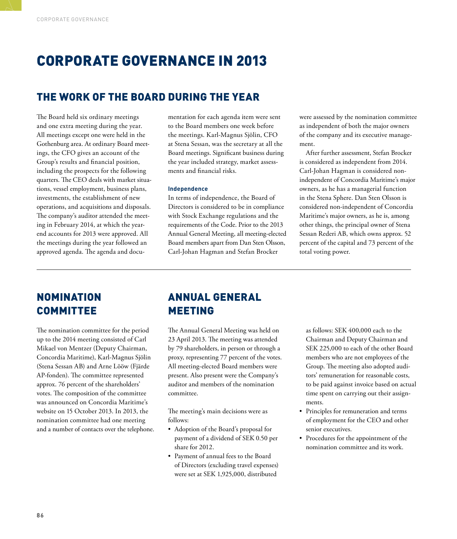### CORPORATE GOVERNANCE IN 2013

### THE WORK OF THE BOARD DURING THE YEAR

The Board held six ordinary meetings and one extra meeting during the year. All meetings except one were held in the Gothenburg area. At ordinary Board meetings, the CFO gives an account of the Group's results and financial position, including the prospects for the following quarters. The CEO deals with market situations, vessel employment, business plans, investments, the establishment of new operations, and acquisitions and disposals. The company's auditor attended the meeting in February 2014, at which the yearend accounts for 2013 were approved. All the meetings during the year followed an approved agenda. The agenda and docu-

mentation for each agenda item were sent to the Board members one week before the meetings. Karl-Magnus Sjölin, CFO at Stena Sessan, was the secretary at all the Board meetings. Significant business during the year included strategy, market assessments and financial risks.

#### **Independence**

In terms of independence, the Board of Directors is considered to be in compliance with Stock Exchange regulations and the requirements of the Code. Prior to the 2013 Annual General Meeting, all meeting-elected Board members apart from Dan Sten Olsson, Carl-Johan Hagman and Stefan Brocker

were assessed by the nomination committee as independent of both the major owners of the company and its executive management.

After further assessment, Stefan Brocker is considered as independent from 2014. Carl-Johan Hagman is considered nonindependent of Concordia Maritime's major owners, as he has a managerial function in the Stena Sphere. Dan Sten Olsson is considered non-independent of Concordia Maritime's major owners, as he is, among other things, the principal owner of Stena Sessan Rederi AB, which owns approx. 52 percent of the capital and 73 percent of the total voting power.

### NOMINATION **COMMITTEE**

The nomination committee for the period up to the 2014 meeting consisted of Carl Mikael von Mentzer (Deputy Chairman, Concordia Maritime), Karl-Magnus Sjölin (Stena Sessan AB) and Arne Lööw (Fjärde AP-fonden). The committee represented approx. 76 percent of the shareholders' votes. The composition of the committee was announced on Concordia Maritime's website on 15 October 2013. In 2013, the nomination committee had one meeting and a number of contacts over the telephone.

### ANNUAL GENERAL MEETING

The Annual General Meeting was held on 23 April 2013. The meeting was attended by 79 shareholders, in person or through a proxy, representing 77 percent of the votes. All meeting-elected Board members were present. Also present were the Company's auditor and members of the nomination committee.

The meeting's main decisions were as follows:

- Adoption of the Board's proposal for payment of a dividend of SEK 0.50 per share for 2012.
- Payment of annual fees to the Board of Directors (excluding travel expenses) were set at SEK 1,925,000, distributed

as follows: SEK 400,000 each to the Chairman and Deputy Chairman and SEK 225,000 to each of the other Board members who are not employees of the Group. The meeting also adopted auditors' remuneration for reasonable costs, to be paid against invoice based on actual time spent on carrying out their assignments.

- Principles for remuneration and terms of employment for the CEO and other senior executives.
- Procedures for the appointment of the nomination committee and its work.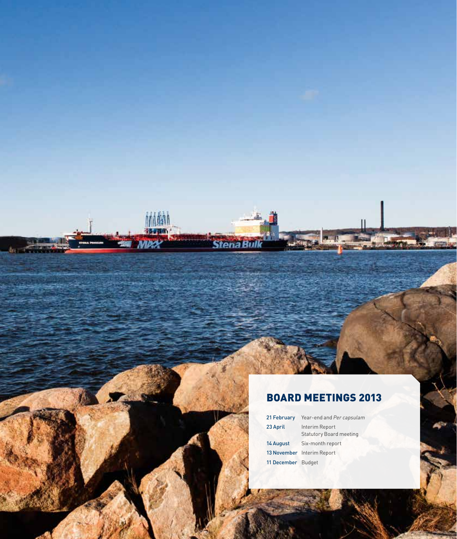## BOARD MEETINGS 2013

鬭

*Stena Rul* 

| 21 February        | Year-end and Per capsulam                        |  |  |
|--------------------|--------------------------------------------------|--|--|
| 23 April           | Interim Report<br><b>Statutory Board meeting</b> |  |  |
| 14 August          | Six-month report                                 |  |  |
|                    | 13 November Interim Report                       |  |  |
| 11 December Budget |                                                  |  |  |

**87**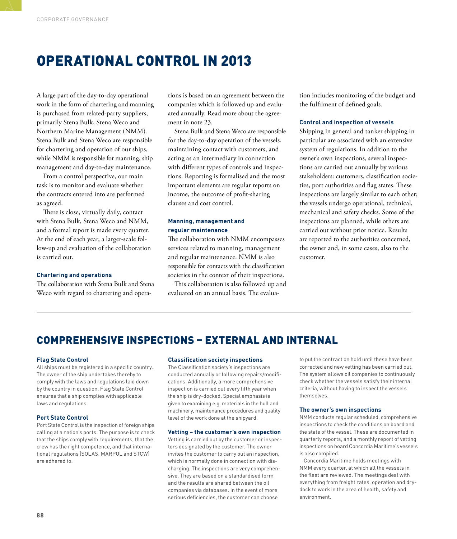### OPERATIONAL CONTROL IN 2013

A large part of the day-to-day operational work in the form of chartering and manning is purchased from related-party suppliers, primarily Stena Bulk, Stena Weco and Northern Marine Management (NMM). Stena Bulk and Stena Weco are responsible for chartering and operation of our ships, while NMM is responsible for manning, ship management and day-to-day maintenance.

From a control perspective, our main task is to monitor and evaluate whether the contracts entered into are performed as agreed.

There is close, virtually daily, contact with Stena Bulk, Stena Weco and NMM, and a formal report is made every quarter. At the end of each year, a larger-scale follow-up and evaluation of the collaboration is carried out.

#### **Chartering and operations**

The collaboration with Stena Bulk and Stena Weco with regard to chartering and opera-

tions is based on an agreement between the companies which is followed up and evaluated annually. Read more about the agreement in note 23.

Stena Bulk and Stena Weco are responsible for the day-to-day operation of the vessels, maintaining contact with customers, and acting as an intermediary in connection with different types of controls and inspections. Reporting is formalised and the most important elements are regular reports on income, the outcome of profit-sharing clauses and cost control.

#### **Manning, management and regular maintenance**

The collaboration with NMM encompasses services related to manning, management and regular maintenance. NMM is also responsible for contacts with the classification societies in the context of their inspections.

This collaboration is also followed up and evaluated on an annual basis. The evaluation includes monitoring of the budget and the fulfilment of defined goals.

#### **Control and inspection of vessels**

Shipping in general and tanker shipping in particular are associated with an extensive system of regulations. In addition to the owner's own inspections, several inspections are carried out annually by various stakeholders: customers, classification societies, port authorities and flag states. These inspections are largely similar to each other; the vessels undergo operational, technical, mechanical and safety checks. Some of the inspections are planned, while others are carried out without prior notice. Results are reported to the authorities concerned, the owner and, in some cases, also to the customer.

### COMPREHENSIVE INSPECTIONS – EXTERNAL AND INTERNAL

#### **Flag State Control**

All ships must be registered in a specific country. The owner of the ship undertakes thereby to comply with the laws and regulations laid down by the country in question. Flag State Control ensures that a ship complies with applicable laws and regulations.

#### **Port State Control**

Port State Control is the inspection of foreign ships calling at a nation's ports. The purpose is to check that the ships comply with requirements, that the crew has the right competence, and that international regulations (SOLAS, MARPOL and STCW) are adhered to.

#### **Classification society inspections**

The Classification society's inspections are conducted annually or following repairs/modifications. Additionally, a more comprehensive inspection is carried out every fifth year when the ship is dry-docked. Special emphasis is given to examining e.g. materials in the hull and machinery, maintenance procedures and quality level of the work done at the shipyard.

#### **Vetting – the customer's own inspection**

Vetting is carried out by the customer or inspectors designated by the customer. The owner invites the customer to carry out an inspection, which is normally done in connection with discharging. The inspections are very comprehensive. They are based on a standardised form and the results are shared between the oil companies via databases. In the event of more serious deficiencies, the customer can choose

to put the contract on hold until these have been corrected and new vetting has been carried out. The system allows oil companies to continuously check whether the vessels satisfy their internal criteria, without having to inspect the vessels themselves.

#### **The owner's own inspections**

NMM conducts regular scheduled, comprehensive inspections to check the conditions on board and the state of the vessel. These are documented in quarterly reports, and a monthly report of vetting inspections on board Concordia Maritime's vessels is also compiled.

Concordia Maritime holds meetings with NMM every quarter, at which all the vessels in the fleet are reviewed. The meetings deal with everything from freight rates, operation and drydock to work in the area of health, safety and environment.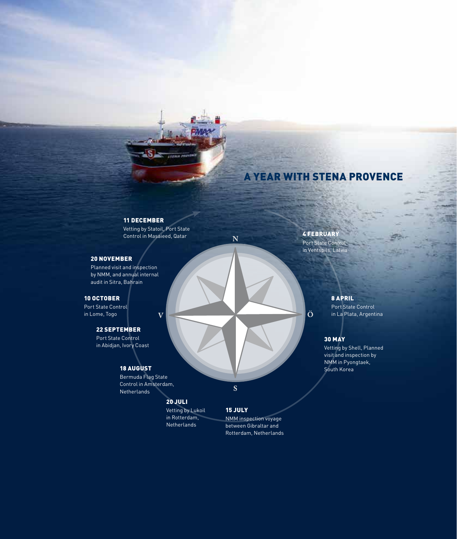### A YEAR WITH STENA PROVENCE

#### 11 DECEMBER

Ŝ

Vetting by Statoil, Port State Verting by Statuit, Pult State<br>Control in Masaieed, Qatar  $N$  4 FEBRUARY

 $\overline{\mathbf{V}}$ 

#### 20 NOVEMBER

Planned visit and inspection by NMM, and annual internal audit in Sitra, Bahrain

#### 10 OCTOBER

Port State Control in Lome, Togo

#### 22 SEPTEMBER

Port State Control in Abidjan, Ivory Coast

#### 18 AUGUST

Bermuda Flag State Control in Amsterdam, Netherlands

### 20 JULI

Vetting by Lukoil in Rotterdam, Netherlands

NMM inspection voyage between Gibraltar and Rotterdam, Netherlands

15 JULY

 $\overline{\mathbf{S}}$ 

Port State Control in Ventspils, Latvia

 $|\ddot{\text{o}}|$ 

#### 8 APRIL

Port State Control in La Plata, Argentina

#### 30 MAY

Vetting by Shell, Planned visit and inspection by NMM in Pyongtaek, South Korea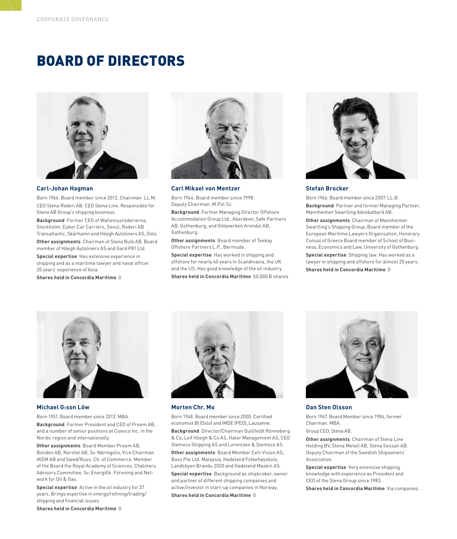### BOARD OF DIRECTORS



#### **Carl-Johan Hagman**

Born 1966. Board member since 2012. Chairman. LL.M. CEO Stena Rederi AB. CEO Stena Line. Responsible for Stena AB Group's shipping business.

**Background** Former CEO of Walleniusrederierna, Stockholm, Eukor Car Carriers, Seoul, Rederi AB Transatlantic, Skärhamn and Höegh Autoliners AS, Oslo.

**Other assignments** Chairman of Stena Bulk AB. Board member of Höegh Autoliners AS and Gard P81 Ltd.

**Special expertise** Has extensive experience in shipping and as a maritime lawyer and naval officer. 20 years' experience of Asia.

**Shares held in Concordia Maritime** 0



**Carl Mikael von Mentzer** 

Born 1944. Board member since 1998. Deputy Chairman. M.Pol.Sc.

**Background** Former Managing Director Offshore Accommodation Group Ltd., Aberdeen, Safe Partners AB, Gothenburg, and Götaverken Arendal AB, Gothenburg.

**Other assignments** Board member of Teekay Offshore Partners L.P., Bermuda.

**Special expertise** Has worked in shipping and offshore for nearly 40 years in Scandinavia, the UK and the US. Has good knowledge of the oil industry. **Shares held in Concordia Maritime** 50,000 B shares



#### **Stefan Brocker**

Born 1966. Board member since 2007. LL.B.

**Background** Partner and former Managing Partner, Mannheimer Swartling Advokatbyrå AB.

**Other assignments** Chairman of Mannheimer Swartling's Shipping Group, Board member of the European Maritime Lawyers Organisation, Honorary Consul of Greece Board member of School of Business, Economics and Law, University of Gothenburg.

**Special expertise** Shipping law. Has worked as a lawyer in shipping and offshore for almost 20 years. **Shares held in Concordia Maritime** 0



#### **Michael G:son Löw**

Born 1951. Board member since 2012. MBA. **Background** Former President and CEO of Preem AB, and a number of senior positions at Conoco Inc. in the Nordic region and internationally.

**Other assignments** Board Member Preem AB, Boliden AB, Norstel AB, Sv. Näringsliv, Vice Chairman IKEM AB and Swed/Russ. Ch. of Commerce. Member of the Board the Royal Academy of Sciences, Chalmers Advisory Committee, Sv. EnergiEk. Förening and Network for Oil & Gas.

**Special expertise** Active in the oil industry for 37 years. Brings expertise in energy/refining/trading/ shipping and financial issues.



#### **Morten Chr. Mo**

Born 1948. Board member since 2000. Certified economist BI (Oslo) and IMDE (PED), Lausanne. **Background** Director/Chairman Quillfeldt Rönneberg & Co, Leif Höegh & Co AS, Hator Management AS, CEO Stemoco Shipping AS and Lorentzen & Stemoco AS. **Other assignments** Board Member Cell-Vision AS, Bass Pte Ltd. Malaysia, Hadeland Folkehøyskole, Landsbyen Brandu 2020 and Hadeland Maskin AS. **Special expertise** Background as shipbroker, owner and partner of different shipping companies and active/investor in start-up companies in Norway. **Shares held in Concordia Maritime** 0



#### **Dan Sten Olsson**

Born 1947. Board Member since 1984, former Chairman. MBA.

#### Group CEO, Stena AB.

**Other assignments** Chairman of Stena Line Holding BV, Stena Metall AB, Stena Sessan AB. Deputy Chairman of the Swedish Shipowners' Association.

**Special expertise** Very extensive shipping knowledge with experience as President and CEO of the Stena Group since 1983.

**Shares held in Concordia Maritime**Via companies.

**Shares held in Concordia Maritime** 0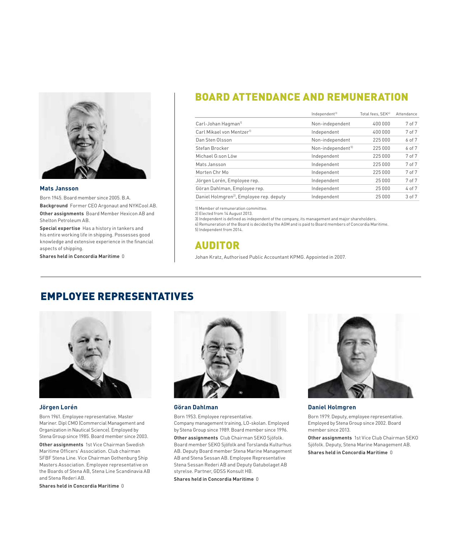

#### **Mats Jansson**

Born 1945. Board member since 2005. B.A.

**Background** Former CEO Argonaut and NYKCool AB. **Other assignments** Board Member Hexicon AB and Shelton Petroleum AB.

**Special expertise** Has a history in tankers and his entire working life in shipping. Possesses good knowledge and extensive experience in the financial aspects of shipping.

**Shares held in Concordia Maritime** 0

### BOARD ATTENDANCE AND REMUNERATION

|                                                     | Independent <sup>3)</sup>     | Total fees, SEK <sup>41</sup> | Attendance |
|-----------------------------------------------------|-------------------------------|-------------------------------|------------|
| Carl-Johan Hagman <sup>11</sup>                     | Non-independent               | 400 000                       | 7 of 7     |
| Carl Mikael von Mentzer <sup>11</sup>               | Independent                   | 400 000                       | 7 of 7     |
| Dan Sten Olsson                                     | Non-independent               | 225 000                       | 6 of 7     |
| Stefan Brocker                                      | Non-independent <sup>51</sup> | 225 000                       | 6 of 7     |
| Michael G:son Löw                                   | Independent                   | 225 000                       | 7 of 7     |
| Mats Jansson                                        | Independent                   | 225 000                       | 7 of 7     |
| Morten Chr Mo                                       | Independent                   | 225 000                       | 7 of 7     |
| Jörgen Lorén, Employee rep.                         | Independent                   | 25 000                        | 7 of 7     |
| Göran Dahlman, Employee rep.                        | Independent                   | 25 000                        | 4 of 7     |
| Daniel Holmgren <sup>2</sup> , Employee rep. deputy | Independent                   | 25 000                        | 3 of 7     |

1) Member of remuneration committee.

2) Elected from 14 August 2013.

3) Independent is defined as independent of the company, its management and major shareholders. 4) Remuneration of the Board is decided by the AGM and is paid to Board members of Concordia Maritime. 5) Independent from 2014.

AUDITOR

Johan Kratz, Authorised Public Accountant KPMG. Appointed in 2007.

### EMPLOYEE REPRESENTATIVES



#### **Jörgen Lorén**

Born 1961. Employee representative. Master Mariner. Dipl CMO (Commercial Management and Organization in Nautical Science). Employed by Stena Group since 1985. Board member since 2003.

**Other assignments** 1st Vice Chairman Swedish Maritime Officers' Association. Club chairman SFBF Stena Line. Vice Chairman Gothenburg Ship Masters Association. Employee representative on the Boards of Stena AB, Stena Line Scandinavia AB and Stena Rederi AB.

**Shares held in Concordia Maritime** 0



#### **Göran Dahlman**

Born 1953. Employee representative. Company management training, LO-skolan. Employed by Stena Group since 1989. Board member since 1996.

**Other assignments** Club Chairman SEKO Sjöfolk. Board member SEKO Sjöfolk and Torslanda Kulturhus AB. Deputy Board member Stena Marine Management AB and Stena Sessan AB. Employee Representative Stena Sessan Rederi AB and Deputy Gatubolaget AB styrelse. Partner, GDSS Konsult HB.

**Shares held in Concordia Maritime** 0



#### **Daniel Holmgren**

Born 1979. Deputy, employee representative. Employed by Stena Group since 2002. Board member since 2013.

**Other assignments** 1st Vice Club Chairman SEKO Sjöfolk. Deputy, Stena Marine Management AB. **Shares held in Concordia Maritime** 0